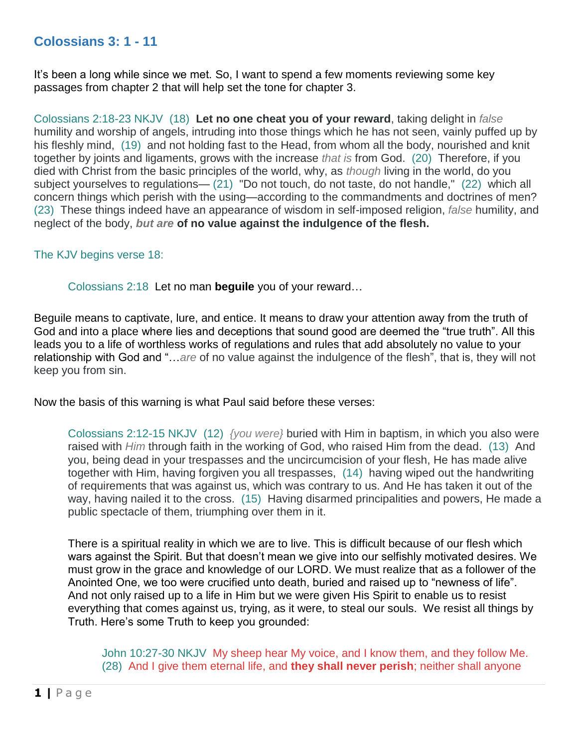## **Colossians 3: 1 - 11**

It's been a long while since we met. So, I want to spend a few moments reviewing some key passages from chapter 2 that will help set the tone for chapter 3.

Colossians 2:18-23 NKJV (18) **Let no one cheat you of your reward**, taking delight in *false* humility and worship of angels, intruding into those things which he has not seen, vainly puffed up by his fleshly mind, (19) and not holding fast to the Head, from whom all the body, nourished and knit together by joints and ligaments, grows with the increase *that is* from God. (20) Therefore, if you died with Christ from the basic principles of the world, why, as *though* living in the world, do you subject yourselves to regulations— (21) "Do not touch, do not taste, do not handle," (22) which all concern things which perish with the using—according to the commandments and doctrines of men? (23) These things indeed have an appearance of wisdom in self-imposed religion, *false* humility, and neglect of the body, *but are* **of no value against the indulgence of the flesh.**

## The KJV begins verse 18:

Colossians 2:18 Let no man **beguile** you of your reward…

Beguile means to captivate, lure, and entice. It means to draw your attention away from the truth of God and into a place where lies and deceptions that sound good are deemed the "true truth". All this leads you to a life of worthless works of regulations and rules that add absolutely no value to your relationship with God and "…*are* of no value against the indulgence of the flesh", that is, they will not keep you from sin.

Now the basis of this warning is what Paul said before these verses:

Colossians 2:12-15 NKJV (12) *{you were}* buried with Him in baptism, in which you also were raised with *Him* through faith in the working of God, who raised Him from the dead. (13) And you, being dead in your trespasses and the uncircumcision of your flesh, He has made alive together with Him, having forgiven you all trespasses, (14) having wiped out the handwriting of requirements that was against us, which was contrary to us. And He has taken it out of the way, having nailed it to the cross. (15) Having disarmed principalities and powers, He made a public spectacle of them, triumphing over them in it.

There is a spiritual reality in which we are to live. This is difficult because of our flesh which wars against the Spirit. But that doesn't mean we give into our selfishly motivated desires. We must grow in the grace and knowledge of our LORD. We must realize that as a follower of the Anointed One, we too were crucified unto death, buried and raised up to "newness of life". And not only raised up to a life in Him but we were given His Spirit to enable us to resist everything that comes against us, trying, as it were, to steal our souls. We resist all things by Truth. Here's some Truth to keep you grounded:

John 10:27-30 NKJV My sheep hear My voice, and I know them, and they follow Me. (28) And I give them eternal life, and **they shall never perish**; neither shall anyone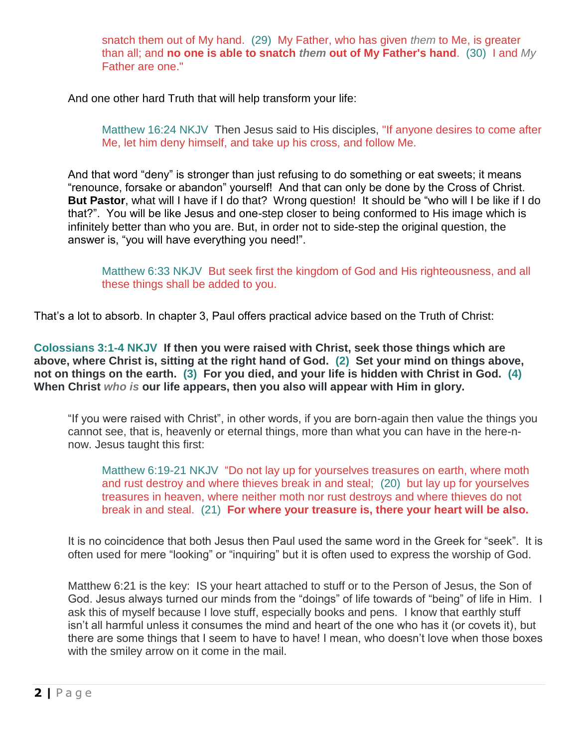snatch them out of My hand. (29) My Father, who has given *them* to Me, is greater than all; and **no one is able to snatch** *them* **out of My Father's hand**. (30) I and *My* Father are one."

And one other hard Truth that will help transform your life:

Matthew 16:24 NKJV Then Jesus said to His disciples, "If anyone desires to come after Me, let him deny himself, and take up his cross, and follow Me.

And that word "deny" is stronger than just refusing to do something or eat sweets; it means "renounce, forsake or abandon" yourself! And that can only be done by the Cross of Christ. **But Pastor**, what will I have if I do that? Wrong question! It should be "who will I be like if I do that?". You will be like Jesus and one-step closer to being conformed to His image which is infinitely better than who you are. But, in order not to side-step the original question, the answer is, "you will have everything you need!".

Matthew 6:33 NKJV But seek first the kingdom of God and His righteousness, and all these things shall be added to you.

That's a lot to absorb. In chapter 3, Paul offers practical advice based on the Truth of Christ:

**Colossians 3:1-4 NKJV If then you were raised with Christ, seek those things which are above, where Christ is, sitting at the right hand of God. (2) Set your mind on things above, not on things on the earth. (3) For you died, and your life is hidden with Christ in God. (4) When Christ** *who is* **our life appears, then you also will appear with Him in glory.**

"If you were raised with Christ", in other words, if you are born-again then value the things you cannot see, that is, heavenly or eternal things, more than what you can have in the here-nnow. Jesus taught this first:

Matthew 6:19-21 NKJV "Do not lay up for yourselves treasures on earth, where moth and rust destroy and where thieves break in and steal; (20) but lay up for yourselves treasures in heaven, where neither moth nor rust destroys and where thieves do not break in and steal. (21) **For where your treasure is, there your heart will be also.**

It is no coincidence that both Jesus then Paul used the same word in the Greek for "seek". It is often used for mere "looking" or "inquiring" but it is often used to express the worship of God.

Matthew 6:21 is the key: IS your heart attached to stuff or to the Person of Jesus, the Son of God. Jesus always turned our minds from the "doings" of life towards of "being" of life in Him. I ask this of myself because I love stuff, especially books and pens. I know that earthly stuff isn't all harmful unless it consumes the mind and heart of the one who has it (or covets it), but there are some things that I seem to have to have! I mean, who doesn't love when those boxes with the smiley arrow on it come in the mail.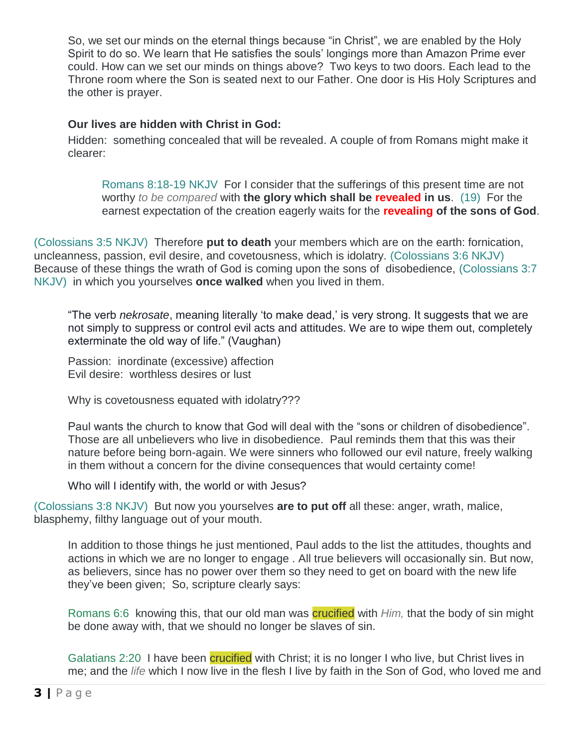So, we set our minds on the eternal things because "in Christ", we are enabled by the Holy Spirit to do so. We learn that He satisfies the souls' longings more than Amazon Prime ever could. How can we set our minds on things above? Two keys to two doors. Each lead to the Throne room where the Son is seated next to our Father. One door is His Holy Scriptures and the other is prayer.

## **Our lives are hidden with Christ in God:**

Hidden: something concealed that will be revealed. A couple of from Romans might make it clearer:

Romans 8:18-19 NKJV For I consider that the sufferings of this present time are not worthy *to be compared* with **the glory which shall be revealed in us**. (19) For the earnest expectation of the creation eagerly waits for the **revealing of the sons of God**.

(Colossians 3:5 NKJV) Therefore **put to death** your members which are on the earth: fornication, uncleanness, passion, evil desire, and covetousness, which is idolatry. (Colossians 3:6 NKJV) Because of these things the wrath of God is coming upon the sons of disobedience, (Colossians 3:7 NKJV) in which you yourselves **once walked** when you lived in them.

"The verb *nekrosate*, meaning literally 'to make dead,' is very strong. It suggests that we are not simply to suppress or control evil acts and attitudes. We are to wipe them out, completely exterminate the old way of life." (Vaughan)

Passion: inordinate (excessive) affection Evil desire: worthless desires or lust

Why is covetousness equated with idolatry???

Paul wants the church to know that God will deal with the "sons or children of disobedience". Those are all unbelievers who live in disobedience. Paul reminds them that this was their nature before being born-again. We were sinners who followed our evil nature, freely walking in them without a concern for the divine consequences that would certainty come!

Who will I identify with, the world or with Jesus?

(Colossians 3:8 NKJV) But now you yourselves **are to put off** all these: anger, wrath, malice, blasphemy, filthy language out of your mouth.

In addition to those things he just mentioned, Paul adds to the list the attitudes, thoughts and actions in which we are no longer to engage . All true believers will occasionally sin. But now, as believers, since has no power over them so they need to get on board with the new life they've been given; So, scripture clearly says:

Romans 6:6 knowing this, that our old man was crucified with *Him,* that the body of sin might be done away with, that we should no longer be slaves of sin.

Galatians 2:20 I have been *crucified* with Christ; it is no longer I who live, but Christ lives in me; and the *life* which I now live in the flesh I live by faith in the Son of God, who loved me and